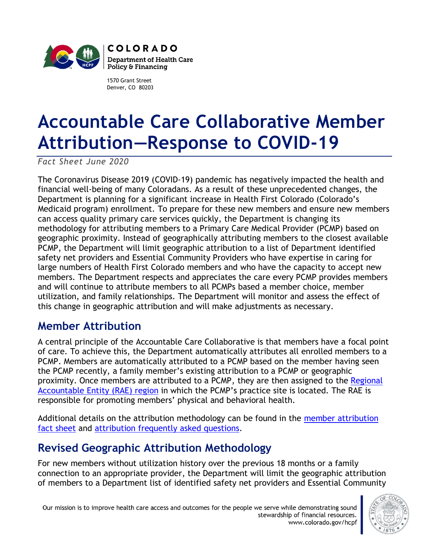

1570 Grant Street Denver, CO 80203

## **Accountable Care Collaborative Member Attribution—Response to COVID-19**

*Fact Sheet June 2020*

The Coronavirus Disease 2019 (COVID-19) pandemic has negatively impacted the health and financial well-being of many Coloradans. As a result of these unprecedented changes, the Department is planning for a significant increase in Health First Colorado (Colorado's Medicaid program) enrollment. To prepare for these new members and ensure new members can access quality primary care services quickly, the Department is changing its methodology for attributing members to a Primary Care Medical Provider (PCMP) based on geographic proximity. Instead of geographically attributing members to the closest available PCMP, the Department will limit geographic attribution to a list of Department identified safety net providers and Essential Community Providers who have expertise in caring for large numbers of Health First Colorado members and who have the capacity to accept new members. The Department respects and appreciates the care every PCMP provides members and will continue to attribute members to all PCMPs based a member choice, member utilization, and family relationships. The Department will monitor and assess the effect of this change in geographic attribution and will make adjustments as necessary.

## **Member Attribution**

A central principle of the Accountable Care Collaborative is that members have a focal point of care. To achieve this, the Department automatically attributes all enrolled members to a PCMP. Members are automatically attributed to a PCMP based on the member having seen the PCMP recently, a family member's existing attribution to a PCMP or geographic proximity. Once members are attributed to a PCMP, they are then assigned to the Regional [Accountable Entity \(RAE\)](https://www.colorado.gov/hcpf/accphase2) region in which the PCMP's practice site is located. The RAE is responsible for promoting members' physical and behavioral health.

Additional details on the attribution methodology can be found in the [member attribution](https://www.colorado.gov/pacific/sites/default/files/Attribution%20May%202018%20fact%20sheet.pdf)  [fact sheet](https://www.colorado.gov/pacific/sites/default/files/Attribution%20May%202018%20fact%20sheet.pdf) and [attribution frequently asked questions.](https://www.colorado.gov/pacific/sites/default/files/Phase%20II%20Attribution%20FAQ%2003.06.2018.pdf)

## **Revised Geographic Attribution Methodology**

For new members without utilization history over the previous 18 months or a family connection to an appropriate provider, the Department will limit the geographic attribution of members to a Department list of identified safety net providers and Essential Community